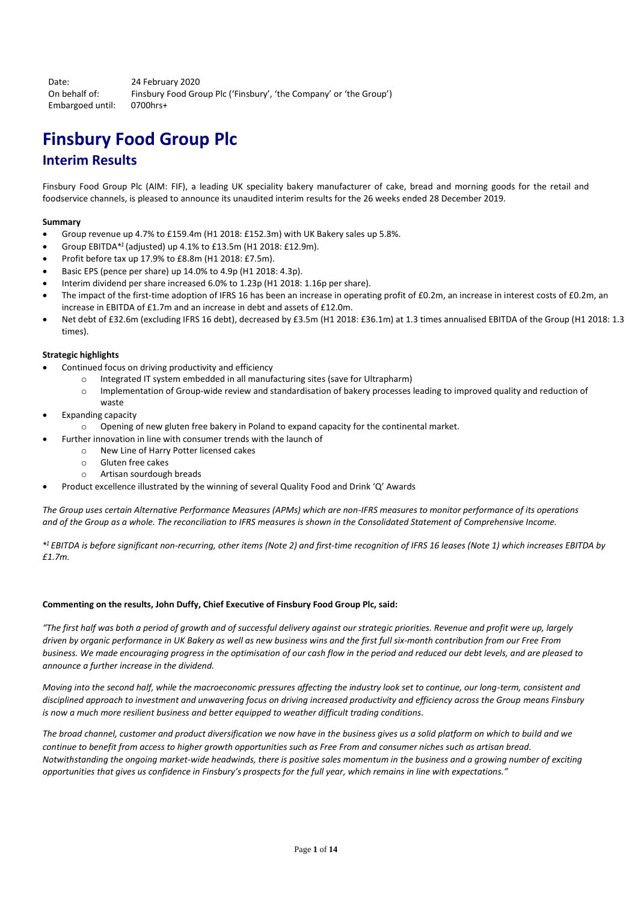Date: 24 February 2020 On behalf of: Finsbury Food Group Plc ('Finsbury', 'the Company' or 'the Group') Embargoed until: 0700hrs+

# **Finsbury Food Group Plc Interim Results**

Finsbury Food Group Plc (AIM: FIF), a leading UK speciality bakery manufacturer of cake, bread and morning goods for the retail and foodservice channels, is pleased to announce its unaudited interim results for the 26 weeks ended 28 December 2019.

# **Summary**

- Group revenue up 4.7% to £159.4m (H1 2018: £152.3m) with UK Bakery sales up 5.8%.
- Group EBITDA*\* 1* (adjusted) up 4.1% to £13.5m (H1 2018: £12.9m).
- Profit before tax up 17.9% to £8.8m (H1 2018: £7.5m).
- Basic EPS (pence per share) up 14.0% to 4.9p (H1 2018: 4.3p).
- Interim dividend per share increased 6.0% to 1.23p (H1 2018: 1.16p per share).
- The impact of the first-time adoption of IFRS 16 has been an increase in operating profit of £0.2m, an increase in interest costs of £0.2m, an increase in EBITDA of £1.7m and an increase in debt and assets of £12.0m.
- Net debt of £32.6m (excluding IFRS 16 debt), decreased by £3.5m (H1 2018: £36.1m) at 1.3 times annualised EBITDA of the Group (H1 2018: 1.3 times).

## **Strategic highlights**

- Continued focus on driving productivity and efficiency
	- o Integrated IT system embedded in all manufacturing sites (save for Ultrapharm)
	- o Implementation of Group-wide review and standardisation of bakery processes leading to improved quality and reduction of waste
- Expanding capacity
	- o Opening of new gluten free bakery in Poland to expand capacity for the continental market.
- Further innovation in line with consumer trends with the launch of
	- o New Line of Harry Potter licensed cakes
	- o Gluten free cakes
	- o Artisan sourdough breads
- Product excellence illustrated by the winning of several Quality Food and Drink 'Q' Awards

*The Group uses certain Alternative Performance Measures (APMs) which are non-IFRS measures to monitor performance of its operations and of the Group as a whole. The reconciliation to IFRS measures is shown in the Consolidated Statement of Comprehensive Income.*

*\* <sup>1</sup> EBITDA is before significant non-recurring, other items (Note 2) and first-time recognition of IFRS 16 leases (Note 1) which increases EBITDA by £1.7m.*

## **Commenting on the results, John Duffy, Chief Executive of Finsbury Food Group Plc, said:**

*"The first half was both a period of growth and of successful delivery against our strategic priorities. Revenue and profit were up, largely driven by organic performance in UK Bakery as well as new business wins and the first full six-month contribution from our Free From business. We made encouraging progress in the optimisation of our cash flow in the period and reduced our debt levels, and are pleased to announce a further increase in the dividend.*

*Moving into the second half, while the macroeconomic pressures affecting the industry look set to continue, our long-term, consistent and disciplined approach to investment and unwavering focus on driving increased productivity and efficiency across the Group means Finsbury is now a much more resilient business and better equipped to weather difficult trading conditions.*

*The broad channel, customer and product diversification we now have in the business gives us a solid platform on which to build and we continue to benefit from access to higher growth opportunities such as Free From and consumer niches such as artisan bread. Notwithstanding the ongoing market-wide headwinds, there is positive sales momentum in the business and a growing number of exciting opportunities that gives us confidence in Finsbury's prospects for the full year, which remains in line with expectations."*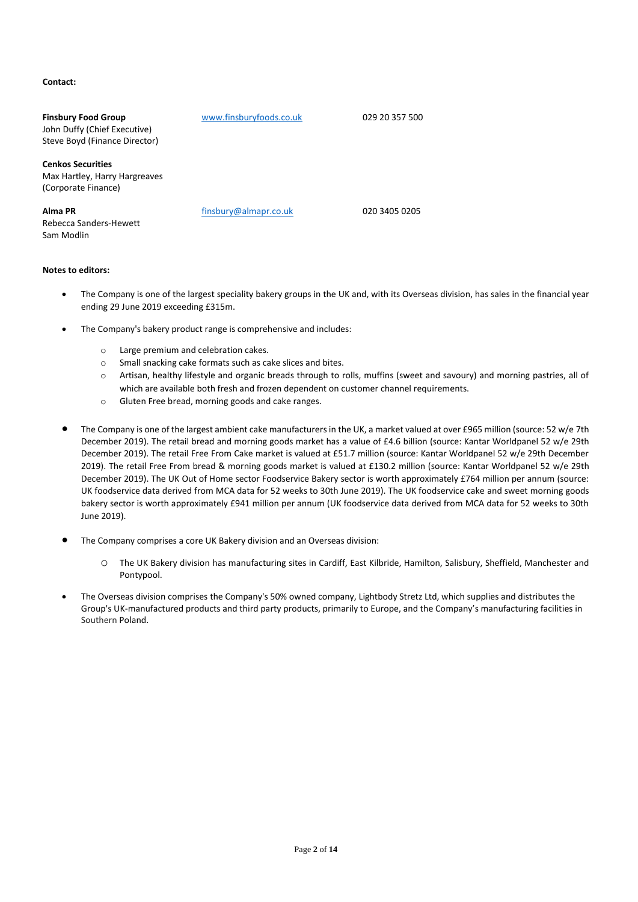# **Contact:**

| <b>Finsbury Food Group</b><br>John Duffy (Chief Executive)<br>Steve Boyd (Finance Director) | www.finsburyfoods.co.uk | 029 20 357 500 |
|---------------------------------------------------------------------------------------------|-------------------------|----------------|
| <b>Cenkos Securities</b><br>Max Hartley, Harry Hargreaves<br>(Corporate Finance)            |                         |                |
| Alma PR<br>Rebecca Sanders-Hewett<br>Sam Modlin                                             | finsbury@almapr.co.uk   | 020 3405 0205  |

## **Notes to editors:**

- The Company is one of the largest speciality bakery groups in the UK and, with its Overseas division, has sales in the financial year ending 29 June 2019 exceeding £315m.
- The Company's bakery product range is comprehensive and includes:
	- o Large premium and celebration cakes.
	- o Small snacking cake formats such as cake slices and bites.
	- o Artisan, healthy lifestyle and organic breads through to rolls, muffins (sweet and savoury) and morning pastries, all of which are available both fresh and frozen dependent on customer channel requirements.
	- o Gluten Free bread, morning goods and cake ranges.
- The Company is one of the largest ambient cake manufacturers in the UK, a market valued at over £965 million (source: 52 w/e 7th December 2019). The retail bread and morning goods market has a value of £4.6 billion (source: Kantar Worldpanel 52 w/e 29th December 2019). The retail Free From Cake market is valued at £51.7 million (source: Kantar Worldpanel 52 w/e 29th December 2019). The retail Free From bread & morning goods market is valued at £130.2 million (source: Kantar Worldpanel 52 w/e 29th December 2019). The UK Out of Home sector Foodservice Bakery sector is worth approximately £764 million per annum (source: UK foodservice data derived from MCA data for 52 weeks to 30th June 2019). The UK foodservice cake and sweet morning goods bakery sector is worth approximately £941 million per annum (UK foodservice data derived from MCA data for 52 weeks to 30th June 2019).
- The Company comprises a core UK Bakery division and an Overseas division:
	- o The UK Bakery division has manufacturing sites in Cardiff, East Kilbride, Hamilton, Salisbury, Sheffield, Manchester and Pontypool.
- The Overseas division comprises the Company's 50% owned company, Lightbody Stretz Ltd, which supplies and distributes the Group's UK-manufactured products and third party products, primarily to Europe, and the Company's manufacturing facilities in Southern Poland.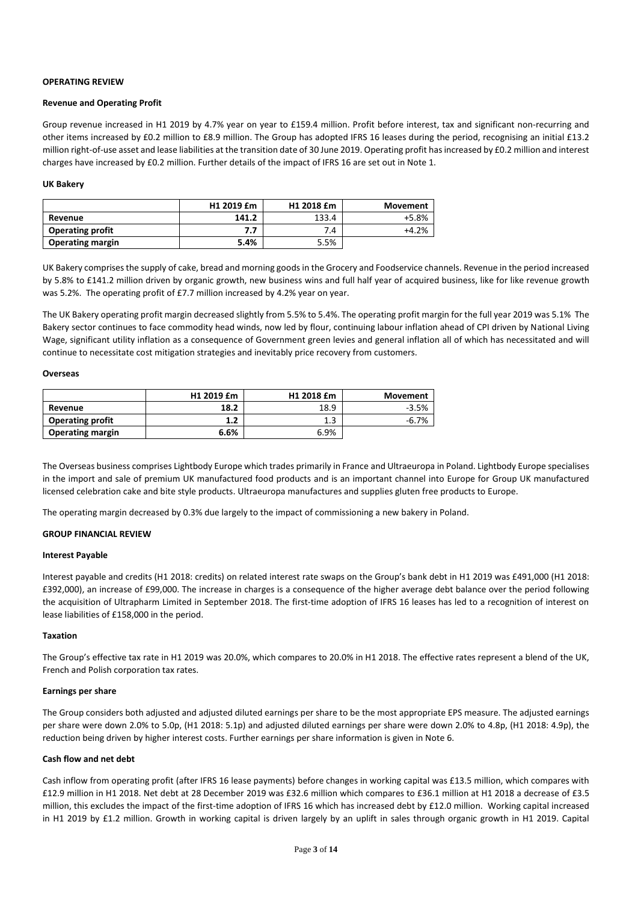### **OPERATING REVIEW**

### **Revenue and Operating Profit**

Group revenue increased in H1 2019 by 4.7% year on year to £159.4 million. Profit before interest, tax and significant non-recurring and other items increased by £0.2 million to £8.9 million. The Group has adopted IFRS 16 leases during the period, recognising an initial £13.2 million right-of-use asset and lease liabilities at the transition date of 30 June 2019. Operating profit has increased by £0.2 million and interest charges have increased by £0.2 million. Further details of the impact of IFRS 16 are set out in Note 1.

### **UK Bakery**

|                         | H <sub>1</sub> 2019 £m | H1 2018 £m | <b>Movement</b> |
|-------------------------|------------------------|------------|-----------------|
| Revenue                 | 141.2                  | 133.4      | +5.8%           |
| <b>Operating profit</b> | 7.7                    | 7.4        | $+4.2%$         |
| <b>Operating margin</b> | 5.4%                   | 5.5%       |                 |

UK Bakery comprises the supply of cake, bread and morning goods in the Grocery and Foodservice channels. Revenue in the period increased by 5.8% to £141.2 million driven by organic growth, new business wins and full half year of acquired business, like for like revenue growth was 5.2%. The operating profit of £7.7 million increased by 4.2% year on year.

The UK Bakery operating profit margin decreased slightly from 5.5% to 5.4%. The operating profit margin for the full year 2019 was 5.1% The Bakery sector continues to face commodity head winds, now led by flour, continuing labour inflation ahead of CPI driven by National Living Wage, significant utility inflation as a consequence of Government green levies and general inflation all of which has necessitated and will continue to necessitate cost mitigation strategies and inevitably price recovery from customers.

### **Overseas**

|                         | H1 2019 £m | H1 2018 £m | <b>Movement</b> |
|-------------------------|------------|------------|-----------------|
| Revenue                 | 18.2       | 18.9       | $-3.5%$         |
| <b>Operating profit</b> | 1.2        | 4<br>ر     | $-6.7%$         |
| <b>Operating margin</b> | 6.6%       | 6.9%       |                 |

The Overseas business comprises Lightbody Europe which trades primarily in France and Ultraeuropa in Poland. Lightbody Europe specialises in the import and sale of premium UK manufactured food products and is an important channel into Europe for Group UK manufactured licensed celebration cake and bite style products. Ultraeuropa manufactures and supplies gluten free products to Europe.

The operating margin decreased by 0.3% due largely to the impact of commissioning a new bakery in Poland.

## **GROUP FINANCIAL REVIEW**

### **Interest Payable**

Interest payable and credits (H1 2018: credits) on related interest rate swaps on the Group's bank debt in H1 2019 was £491,000 (H1 2018: £392,000), an increase of £99,000. The increase in charges is a consequence of the higher average debt balance over the period following the acquisition of Ultrapharm Limited in September 2018. The first-time adoption of IFRS 16 leases has led to a recognition of interest on lease liabilities of £158,000 in the period.

### **Taxation**

The Group's effective tax rate in H1 2019 was 20.0%, which compares to 20.0% in H1 2018. The effective rates represent a blend of the UK, French and Polish corporation tax rates.

### **Earnings per share**

The Group considers both adjusted and adjusted diluted earnings per share to be the most appropriate EPS measure. The adjusted earnings per share were down 2.0% to 5.0p, (H1 2018: 5.1p) and adjusted diluted earnings per share were down 2.0% to 4.8p, (H1 2018: 4.9p), the reduction being driven by higher interest costs. Further earnings per share information is given in Note 6.

### **Cash flow and net debt**

Cash inflow from operating profit (after IFRS 16 lease payments) before changes in working capital was £13.5 million, which compares with £12.9 million in H1 2018. Net debt at 28 December 2019 was £32.6 million which compares to £36.1 million at H1 2018 a decrease of £3.5 million, this excludes the impact of the first-time adoption of IFRS 16 which has increased debt by £12.0 million. Working capital increased in H1 2019 by £1.2 million. Growth in working capital is driven largely by an uplift in sales through organic growth in H1 2019. Capital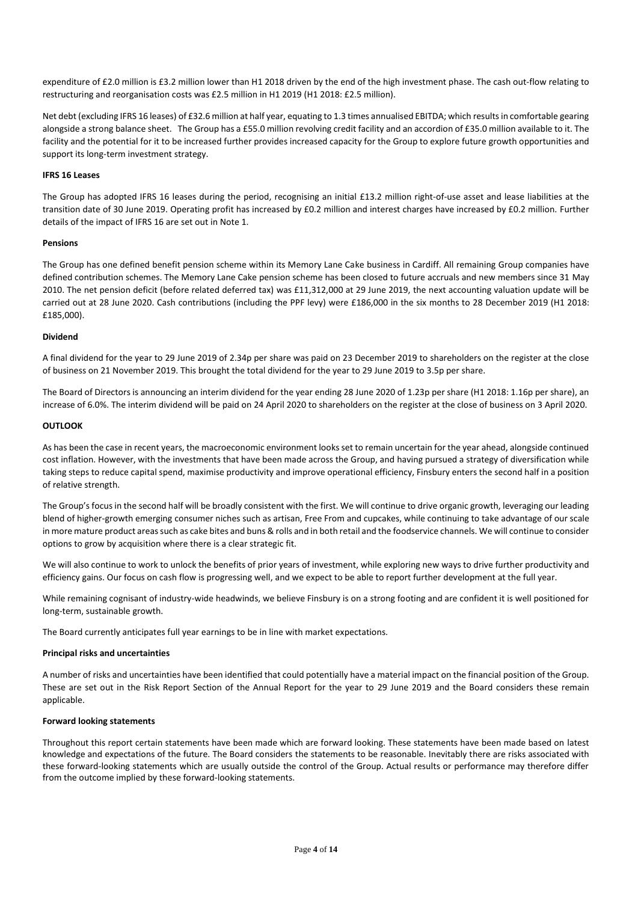expenditure of £2.0 million is £3.2 million lower than H1 2018 driven by the end of the high investment phase. The cash out-flow relating to restructuring and reorganisation costs was £2.5 million in H1 2019 (H1 2018: £2.5 million).

Net debt (excluding IFRS 16 leases) of £32.6 million at half year, equating to 1.3 times annualised EBITDA; which results in comfortable gearing alongside a strong balance sheet. The Group has a £55.0 million revolving credit facility and an accordion of £35.0 million available to it. The facility and the potential for it to be increased further provides increased capacity for the Group to explore future growth opportunities and support its long-term investment strategy.

## **IFRS 16 Leases**

The Group has adopted IFRS 16 leases during the period, recognising an initial £13.2 million right-of-use asset and lease liabilities at the transition date of 30 June 2019. Operating profit has increased by £0.2 million and interest charges have increased by £0.2 million. Further details of the impact of IFRS 16 are set out in Note 1.

### **Pensions**

The Group has one defined benefit pension scheme within its Memory Lane Cake business in Cardiff. All remaining Group companies have defined contribution schemes. The Memory Lane Cake pension scheme has been closed to future accruals and new members since 31 May 2010. The net pension deficit (before related deferred tax) was £11,312,000 at 29 June 2019, the next accounting valuation update will be carried out at 28 June 2020. Cash contributions (including the PPF levy) were £186,000 in the six months to 28 December 2019 (H1 2018: £185,000).

### **Dividend**

A final dividend for the year to 29 June 2019 of 2.34p per share was paid on 23 December 2019 to shareholders on the register at the close of business on 21 November 2019. This brought the total dividend for the year to 29 June 2019 to 3.5p per share.

The Board of Directors is announcing an interim dividend for the year ending 28 June 2020 of 1.23p per share (H1 2018: 1.16p per share), an increase of 6.0%. The interim dividend will be paid on 24 April 2020 to shareholders on the register at the close of business on 3 April 2020.

### **OUTLOOK**

As has been the case in recent years, the macroeconomic environment looks set to remain uncertain for the year ahead, alongside continued cost inflation. However, with the investments that have been made across the Group, and having pursued a strategy of diversification while taking steps to reduce capital spend, maximise productivity and improve operational efficiency, Finsbury enters the second half in a position of relative strength.

The Group's focus in the second half will be broadly consistent with the first. We will continue to drive organic growth, leveraging our leading blend of higher-growth emerging consumer niches such as artisan, Free From and cupcakes, while continuing to take advantage of our scale in more mature product areassuch as cake bites and buns & rolls and in both retail and the foodservice channels. We will continue to consider options to grow by acquisition where there is a clear strategic fit.

We will also continue to work to unlock the benefits of prior years of investment, while exploring new ways to drive further productivity and efficiency gains. Our focus on cash flow is progressing well, and we expect to be able to report further development at the full year.

While remaining cognisant of industry-wide headwinds, we believe Finsbury is on a strong footing and are confident it is well positioned for long-term, sustainable growth.

The Board currently anticipates full year earnings to be in line with market expectations.

### **Principal risks and uncertainties**

A number of risks and uncertainties have been identified that could potentially have a material impact on the financial position of the Group. These are set out in the Risk Report Section of the Annual Report for the year to 29 June 2019 and the Board considers these remain applicable.

### **Forward looking statements**

Throughout this report certain statements have been made which are forward looking. These statements have been made based on latest knowledge and expectations of the future. The Board considers the statements to be reasonable. Inevitably there are risks associated with these forward-looking statements which are usually outside the control of the Group. Actual results or performance may therefore differ from the outcome implied by these forward-looking statements.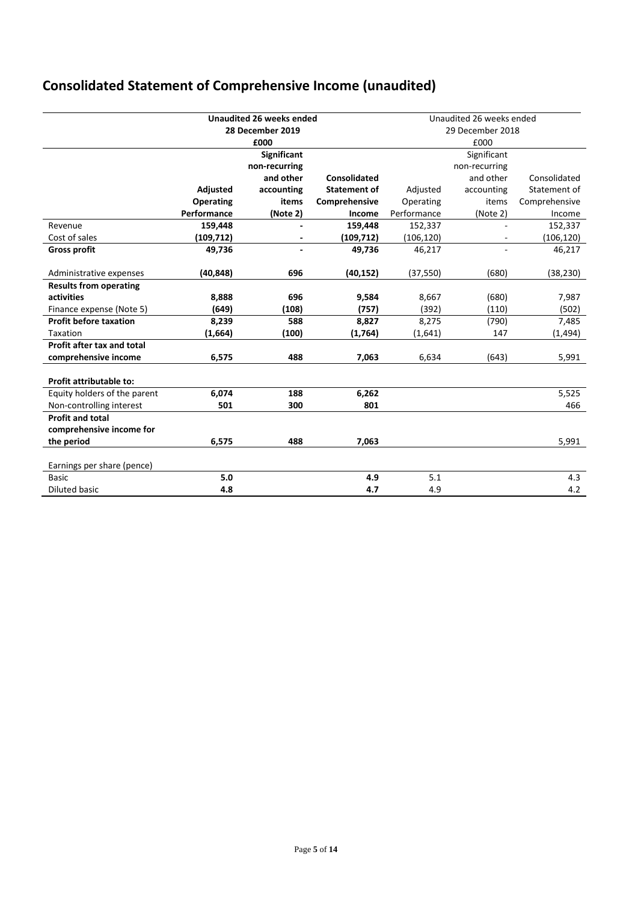# **Consolidated Statement of Comprehensive Income (unaudited)**

|                               |                  | <b>Unaudited 26 weeks ended</b> |                     |                  | Unaudited 26 weeks ended |               |
|-------------------------------|------------------|---------------------------------|---------------------|------------------|--------------------------|---------------|
|                               |                  | 28 December 2019                |                     | 29 December 2018 |                          |               |
|                               |                  | £000                            |                     |                  | £000                     |               |
|                               |                  | <b>Significant</b>              |                     |                  | Significant              |               |
|                               |                  | non-recurring                   |                     |                  | non-recurring            |               |
|                               |                  | and other                       | <b>Consolidated</b> |                  | and other                | Consolidated  |
|                               | Adjusted         | accounting                      | <b>Statement of</b> | Adjusted         | accounting               | Statement of  |
|                               | <b>Operating</b> | items                           | Comprehensive       | Operating        | items                    | Comprehensive |
|                               | Performance      | (Note 2)                        | Income              | Performance      | (Note 2)                 | Income        |
| Revenue                       | 159,448          |                                 | 159,448             | 152,337          |                          | 152,337       |
| Cost of sales                 | (109,712)        |                                 | (109, 712)          | (106, 120)       |                          | (106, 120)    |
| <b>Gross profit</b>           | 49,736           |                                 | 49,736              | 46,217           |                          | 46,217        |
|                               |                  |                                 |                     |                  |                          |               |
| Administrative expenses       | (40, 848)        | 696                             | (40, 152)           | (37, 550)        | (680)                    | (38, 230)     |
| <b>Results from operating</b> |                  |                                 |                     |                  |                          |               |
| activities                    | 8,888            | 696                             | 9,584               | 8,667            | (680)                    | 7,987         |
| Finance expense (Note 5)      | (649)            | (108)                           | (757)               | (392)            | (110)                    | (502)         |
| <b>Profit before taxation</b> | 8,239            | 588                             | 8,827               | 8,275            | (790)                    | 7,485         |
| Taxation                      | (1,664)          | (100)                           | (1,764)             | (1,641)          | 147                      | (1, 494)      |
| Profit after tax and total    |                  |                                 |                     |                  |                          |               |
| comprehensive income          | 6,575            | 488                             | 7,063               | 6,634            | (643)                    | 5,991         |
|                               |                  |                                 |                     |                  |                          |               |
| Profit attributable to:       |                  |                                 |                     |                  |                          |               |
| Equity holders of the parent  | 6,074            | 188                             | 6,262               |                  |                          | 5,525         |
| Non-controlling interest      | 501              | 300                             | 801                 |                  |                          | 466           |
| <b>Profit and total</b>       |                  |                                 |                     |                  |                          |               |
| comprehensive income for      |                  |                                 |                     |                  |                          |               |
| the period                    | 6,575            | 488                             | 7,063               |                  |                          | 5,991         |
|                               |                  |                                 |                     |                  |                          |               |
| Earnings per share (pence)    |                  |                                 |                     |                  |                          |               |
| <b>Basic</b>                  | 5.0              |                                 | 4.9                 | 5.1              |                          | 4.3           |
| <b>Diluted basic</b>          | 4.8              |                                 | 4.7                 | 4.9              |                          | 4.2           |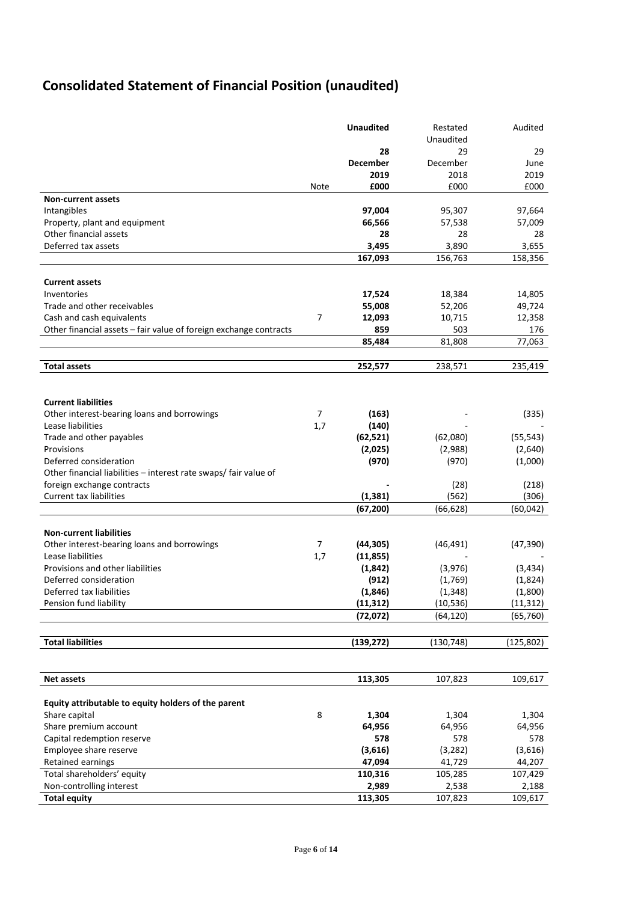# **Consolidated Statement of Financial Position (unaudited)**

|                                                                   |                | <b>Unaudited</b> | Restated         | Audited        |
|-------------------------------------------------------------------|----------------|------------------|------------------|----------------|
|                                                                   |                |                  | Unaudited        |                |
|                                                                   |                | 28               | 29               | 29             |
|                                                                   |                | <b>December</b>  | December         | June           |
|                                                                   |                | 2019             | 2018             | 2019           |
|                                                                   | Note           | £000             | £000             | £000           |
| <b>Non-current assets</b>                                         |                |                  |                  |                |
| Intangibles                                                       |                | 97,004           | 95,307           | 97,664         |
| Property, plant and equipment                                     |                | 66,566           | 57,538           | 57,009         |
| Other financial assets<br>Deferred tax assets                     |                | 28               | 28               | 28             |
|                                                                   |                | 3,495<br>167,093 | 3,890<br>156,763 | 3,655          |
|                                                                   |                |                  |                  | 158,356        |
| <b>Current assets</b>                                             |                |                  |                  |                |
| Inventories                                                       |                | 17,524           | 18,384           | 14,805         |
| Trade and other receivables                                       |                | 55,008           | 52,206           | 49,724         |
| Cash and cash equivalents                                         | 7              | 12,093           | 10,715           | 12,358         |
| Other financial assets - fair value of foreign exchange contracts |                | 859              | 503              | 176            |
|                                                                   |                | 85,484           | 81,808           | 77,063         |
|                                                                   |                |                  |                  |                |
| <b>Total assets</b>                                               |                | 252,577          | 238,571          | 235,419        |
|                                                                   |                |                  |                  |                |
|                                                                   |                |                  |                  |                |
| <b>Current liabilities</b>                                        |                |                  |                  |                |
| Other interest-bearing loans and borrowings                       | $\overline{7}$ | (163)            |                  | (335)          |
| Lease liabilities                                                 | 1,7            | (140)            |                  |                |
| Trade and other payables                                          |                | (62, 521)        | (62,080)         | (55, 543)      |
| Provisions                                                        |                | (2,025)          | (2,988)          | (2,640)        |
| Deferred consideration                                            |                | (970)            | (970)            | (1,000)        |
| Other financial liabilities - interest rate swaps/ fair value of  |                |                  |                  |                |
| foreign exchange contracts<br><b>Current tax liabilities</b>      |                | (1, 381)         | (28)<br>(562)    | (218)<br>(306) |
|                                                                   |                | (67, 200)        | (66, 628)        | (60, 042)      |
|                                                                   |                |                  |                  |                |
| <b>Non-current liabilities</b>                                    |                |                  |                  |                |
| Other interest-bearing loans and borrowings                       | 7              | (44, 305)        | (46, 491)        | (47, 390)      |
| Lease liabilities                                                 | 1,7            | (11, 855)        |                  |                |
| Provisions and other liabilities                                  |                | (1,842)          | (3,976)          | (3, 434)       |
| Deferred consideration                                            |                | (912)            | (1,769)          | (1,824)        |
| Deferred tax liabilities                                          |                | (1,846)          | (1, 348)         | (1,800)        |
| Pension fund liability                                            |                | (11,312)         | (10,536)         | (11,312)       |
|                                                                   |                | (72, 072)        | (64,120)         | (65, 760)      |
|                                                                   |                |                  |                  |                |
| <b>Total liabilities</b>                                          |                | (139, 272)       | (130, 748)       | (125, 802)     |
|                                                                   |                |                  |                  |                |
| <b>Net assets</b>                                                 |                | 113,305          | 107,823          | 109,617        |
|                                                                   |                |                  |                  |                |
| Equity attributable to equity holders of the parent               |                |                  |                  |                |
| Share capital                                                     | 8              | 1,304            | 1,304            | 1,304          |
| Share premium account                                             |                | 64,956           | 64,956           | 64,956         |
| Capital redemption reserve                                        |                | 578              | 578              | 578            |
| Employee share reserve                                            |                | (3,616)          | (3, 282)         | (3,616)        |
| Retained earnings                                                 |                | 47,094           | 41,729           | 44,207         |
| Total shareholders' equity                                        |                | 110,316          | 105,285          | 107,429        |
| Non-controlling interest                                          |                | 2,989            | 2,538            | 2,188          |
| <b>Total equity</b>                                               |                | 113,305          | 107,823          | 109,617        |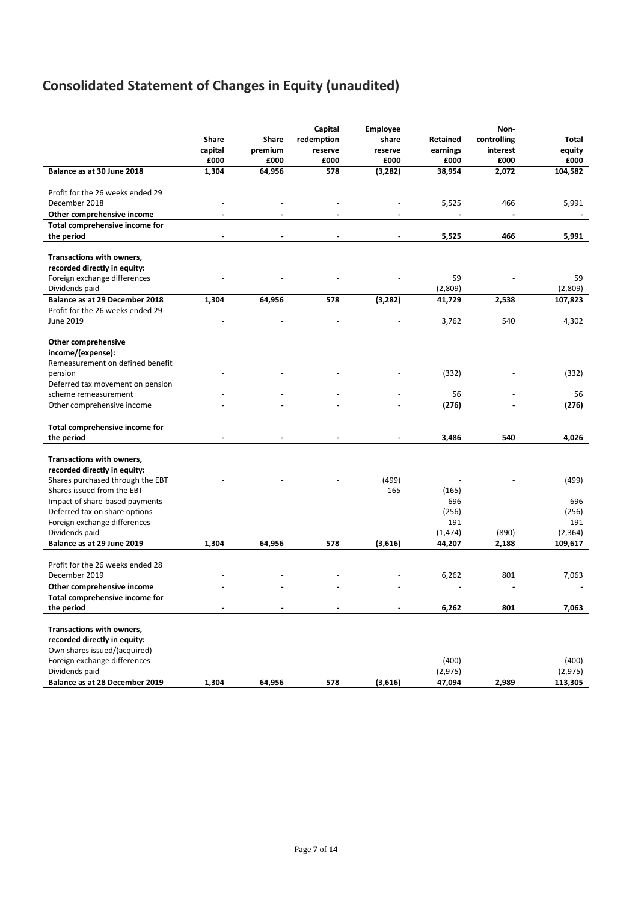# **Consolidated Statement of Changes in Equity (unaudited)**

|                                                                    | Share<br>capital             | Share<br>premium | Capital<br>redemption<br>reserve | <b>Employee</b><br>share<br>reserve | Retained<br>earnings | Non-<br>controlling<br>interest | Total<br>equity |
|--------------------------------------------------------------------|------------------------------|------------------|----------------------------------|-------------------------------------|----------------------|---------------------------------|-----------------|
|                                                                    | £000                         | £000             | £000                             | £000                                | £000                 | £000                            | £000            |
| Balance as at 30 June 2018                                         | 1,304                        | 64,956           | 578                              | (3, 282)                            | 38,954               | 2,072                           | 104,582         |
|                                                                    |                              |                  |                                  |                                     |                      |                                 |                 |
| Profit for the 26 weeks ended 29                                   |                              |                  |                                  |                                     |                      |                                 |                 |
| December 2018                                                      | $\sim$                       |                  |                                  |                                     | 5,525                | 466                             | 5,991           |
| Other comprehensive income                                         | $\blacksquare$               | $\blacksquare$   | $\blacksquare$                   | $\blacksquare$                      | $\blacksquare$       |                                 |                 |
| Total comprehensive income for                                     |                              |                  |                                  |                                     |                      |                                 |                 |
| the period                                                         |                              |                  |                                  |                                     | 5,525                | 466                             | 5,991           |
|                                                                    |                              |                  |                                  |                                     |                      |                                 |                 |
| Transactions with owners,                                          |                              |                  |                                  |                                     |                      |                                 |                 |
| recorded directly in equity:                                       |                              |                  |                                  |                                     |                      |                                 |                 |
| Foreign exchange differences                                       |                              |                  |                                  |                                     | 59                   |                                 | 59              |
| Dividends paid                                                     | 1,304                        | 64,956           | 578                              | (3, 282)                            | (2,809)              | 2,538                           | (2,809)         |
| Balance as at 29 December 2018<br>Profit for the 26 weeks ended 29 |                              |                  |                                  |                                     | 41,729               |                                 | 107,823         |
| June 2019                                                          |                              |                  |                                  |                                     | 3,762                | 540                             | 4,302           |
|                                                                    |                              |                  |                                  |                                     |                      |                                 |                 |
| Other comprehensive                                                |                              |                  |                                  |                                     |                      |                                 |                 |
| income/(expense):                                                  |                              |                  |                                  |                                     |                      |                                 |                 |
| Remeasurement on defined benefit                                   |                              |                  |                                  |                                     |                      |                                 |                 |
| pension                                                            |                              |                  |                                  |                                     | (332)                |                                 | (332)           |
| Deferred tax movement on pension                                   |                              |                  |                                  |                                     |                      |                                 |                 |
| scheme remeasurement                                               | $\overline{\phantom{m}}$     |                  |                                  |                                     | 56                   | $\overline{\phantom{a}}$        | 56              |
| Other comprehensive income                                         | ä,                           |                  |                                  |                                     | (276)                | $\blacksquare$                  | (276)           |
|                                                                    |                              |                  |                                  |                                     |                      |                                 |                 |
| Total comprehensive income for                                     |                              |                  |                                  |                                     |                      |                                 |                 |
| the period                                                         |                              |                  |                                  |                                     | 3,486                | 540                             | 4,026           |
|                                                                    |                              |                  |                                  |                                     |                      |                                 |                 |
| Transactions with owners,                                          |                              |                  |                                  |                                     |                      |                                 |                 |
| recorded directly in equity:                                       |                              |                  |                                  |                                     |                      |                                 |                 |
| Shares purchased through the EBT                                   |                              |                  |                                  | (499)                               |                      |                                 | (499)           |
| Shares issued from the EBT                                         |                              |                  |                                  | 165                                 | (165)<br>696         |                                 | 696             |
| Impact of share-based payments<br>Deferred tax on share options    |                              |                  |                                  |                                     | (256)                |                                 | (256)           |
| Foreign exchange differences                                       |                              |                  |                                  |                                     | 191                  |                                 | 191             |
| Dividends paid                                                     |                              |                  |                                  |                                     | (1, 474)             | (890)                           | (2, 364)        |
| Balance as at 29 June 2019                                         | 1,304                        | 64,956           | 578                              | (3,616)                             | 44,207               | 2,188                           | 109,617         |
|                                                                    |                              |                  |                                  |                                     |                      |                                 |                 |
| Profit for the 26 weeks ended 28                                   |                              |                  |                                  |                                     |                      |                                 |                 |
| December 2019                                                      | $\qquad \qquad \blacksquare$ |                  | $\overline{\phantom{a}}$         |                                     | 6,262                | 801                             | 7,063           |
| Other comprehensive income                                         | ٠                            | $\blacksquare$   | $\frac{1}{2}$                    | $\blacksquare$                      | $\blacksquare$       | $\blacksquare$                  |                 |
| Total comprehensive income for                                     |                              |                  |                                  |                                     |                      |                                 |                 |
| the period                                                         |                              |                  |                                  |                                     | 6,262                | 801                             | 7,063           |
|                                                                    |                              |                  |                                  |                                     |                      |                                 |                 |
| Transactions with owners,                                          |                              |                  |                                  |                                     |                      |                                 |                 |
| recorded directly in equity:                                       |                              |                  |                                  |                                     |                      |                                 |                 |
| Own shares issued/(acquired)                                       |                              |                  |                                  |                                     |                      |                                 |                 |
| Foreign exchange differences                                       |                              |                  |                                  |                                     | (400)                |                                 | (400)           |
| Dividends paid                                                     |                              |                  |                                  |                                     | (2, 975)             |                                 | (2, 975)        |
| Balance as at 28 December 2019                                     | 1,304                        | 64,956           | 578                              | (3,616)                             | 47,094               | 2,989                           | 113,305         |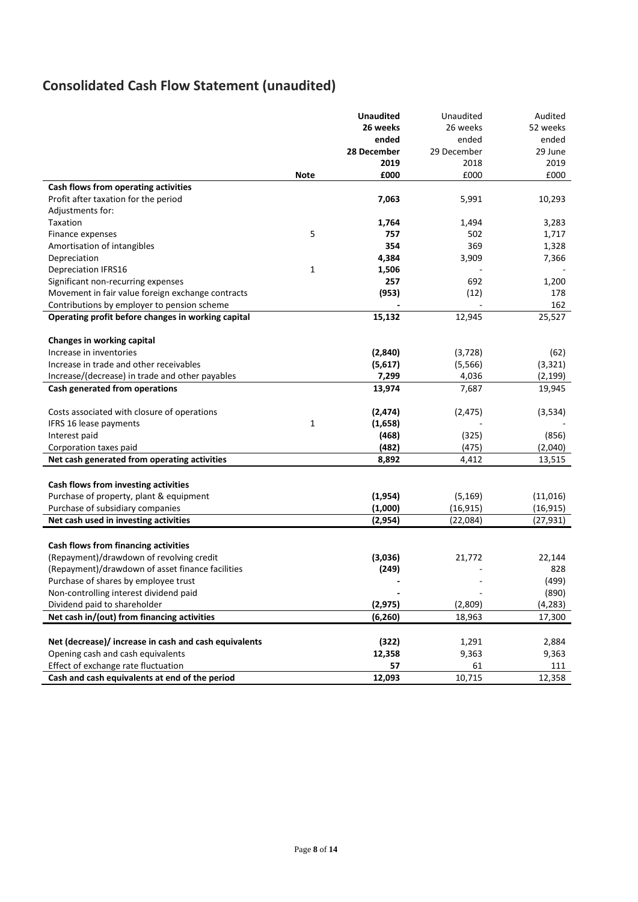# **Consolidated Cash Flow Statement (unaudited)**

|                                                       |              | <b>Unaudited</b> | Unaudited   | Audited   |
|-------------------------------------------------------|--------------|------------------|-------------|-----------|
|                                                       |              | 26 weeks         | 26 weeks    | 52 weeks  |
|                                                       |              | ended            | ended       | ended     |
|                                                       |              | 28 December      | 29 December | 29 June   |
|                                                       |              | 2019             | 2018        | 2019      |
|                                                       | <b>Note</b>  | £000             | £000        | £000      |
| Cash flows from operating activities                  |              |                  |             |           |
| Profit after taxation for the period                  |              | 7,063            | 5,991       | 10,293    |
| Adjustments for:                                      |              |                  |             |           |
| Taxation                                              |              | 1,764            | 1,494       | 3,283     |
| Finance expenses                                      | 5            | 757              | 502         | 1,717     |
| Amortisation of intangibles                           |              | 354              | 369         | 1,328     |
| Depreciation                                          |              | 4,384            | 3,909       | 7,366     |
| <b>Depreciation IFRS16</b>                            | $\mathbf{1}$ | 1,506            |             |           |
| Significant non-recurring expenses                    |              | 257              | 692         | 1,200     |
| Movement in fair value foreign exchange contracts     |              | (953)            | (12)        | 178       |
| Contributions by employer to pension scheme           |              |                  |             | 162       |
| Operating profit before changes in working capital    |              | 15,132           | 12,945      | 25,527    |
|                                                       |              |                  |             |           |
| Changes in working capital                            |              |                  |             |           |
| Increase in inventories                               |              | (2,840)          | (3, 728)    | (62)      |
| Increase in trade and other receivables               |              | (5,617)          | (5, 566)    | (3, 321)  |
| Increase/(decrease) in trade and other payables       |              | 7,299            | 4,036       | (2, 199)  |
| Cash generated from operations                        |              | 13,974           | 7,687       | 19,945    |
|                                                       |              |                  |             |           |
| Costs associated with closure of operations           |              | (2, 474)         | (2, 475)    | (3,534)   |
| IFRS 16 lease payments                                | $\mathbf{1}$ | (1,658)          |             |           |
| Interest paid                                         |              | (468)            | (325)       | (856)     |
| Corporation taxes paid                                |              | (482)            | (475)       | (2,040)   |
| Net cash generated from operating activities          |              | 8,892            | 4,412       | 13,515    |
|                                                       |              |                  |             |           |
| Cash flows from investing activities                  |              |                  |             |           |
| Purchase of property, plant & equipment               |              | (1, 954)         | (5, 169)    | (11, 016) |
| Purchase of subsidiary companies                      |              | (1,000)          | (16, 915)   | (16, 915) |
| Net cash used in investing activities                 |              | (2,954)          | (22,084)    | (27, 931) |
|                                                       |              |                  |             |           |
| Cash flows from financing activities                  |              |                  |             |           |
| (Repayment)/drawdown of revolving credit              |              | (3,036)          | 21,772      | 22,144    |
| (Repayment)/drawdown of asset finance facilities      |              | (249)            |             | 828       |
| Purchase of shares by employee trust                  |              |                  |             | (499)     |
| Non-controlling interest dividend paid                |              |                  |             | (890)     |
| Dividend paid to shareholder                          |              | (2, 975)         | (2,809)     | (4, 283)  |
| Net cash in/(out) from financing activities           |              | (6, 260)         | 18,963      | 17,300    |
|                                                       |              |                  |             |           |
| Net (decrease)/ increase in cash and cash equivalents |              | (322)            | 1,291       | 2,884     |
| Opening cash and cash equivalents                     |              | 12,358           | 9,363       | 9,363     |
| Effect of exchange rate fluctuation                   |              | 57               | 61          | 111       |
| Cash and cash equivalents at end of the period        |              | 12,093           | 10,715      | 12,358    |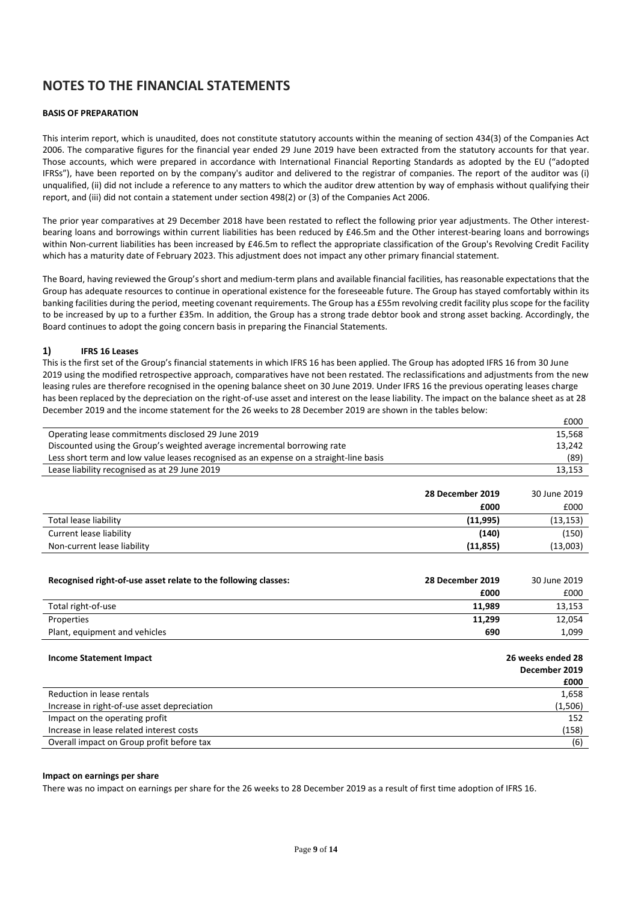# **NOTES TO THE FINANCIAL STATEMENTS**

# **BASIS OF PREPARATION**

This interim report, which is unaudited, does not constitute statutory accounts within the meaning of section 434(3) of the Companies Act 2006. The comparative figures for the financial year ended 29 June 2019 have been extracted from the statutory accounts for that year. Those accounts, which were prepared in accordance with International Financial Reporting Standards as adopted by the EU ("adopted IFRSs"), have been reported on by the company's auditor and delivered to the registrar of companies. The report of the auditor was (i) unqualified, (ii) did not include a reference to any matters to which the auditor drew attention by way of emphasis without qualifying their report, and (iii) did not contain a statement under section 498(2) or (3) of the Companies Act 2006.

The prior year comparatives at 29 December 2018 have been restated to reflect the following prior year adjustments. The Other interestbearing loans and borrowings within current liabilities has been reduced by £46.5m and the Other interest-bearing loans and borrowings within Non-current liabilities has been increased by £46.5m to reflect the appropriate classification of the Group's Revolving Credit Facility which has a maturity date of February 2023. This adjustment does not impact any other primary financial statement.

The Board, having reviewed the Group's short and medium-term plans and available financial facilities, has reasonable expectations that the Group has adequate resources to continue in operational existence for the foreseeable future. The Group has stayed comfortably within its banking facilities during the period, meeting covenant requirements. The Group has a £55m revolving credit facility plus scope for the facility to be increased by up to a further £35m. In addition, the Group has a strong trade debtor book and strong asset backing. Accordingly, the Board continues to adopt the going concern basis in preparing the Financial Statements.

## **1) IFRS 16 Leases**

This is the first set of the Group's financial statements in which IFRS 16 has been applied. The Group has adopted IFRS 16 from 30 June 2019 using the modified retrospective approach, comparatives have not been restated. The reclassifications and adjustments from the new leasing rules are therefore recognised in the opening balance sheet on 30 June 2019. Under IFRS 16 the previous operating leases charge has been replaced by the depreciation on the right-of-use asset and interest on the lease liability. The impact on the balance sheet as at 28 December 2019 and the income statement for the 26 weeks to 28 December 2019 are shown in the tables below:

|                                                                                        | £000   |
|----------------------------------------------------------------------------------------|--------|
| Operating lease commitments disclosed 29 June 2019                                     | 15,568 |
| Discounted using the Group's weighted average incremental borrowing rate               | 13,242 |
| Less short term and low value leases recognised as an expense on a straight-line basis | (89)   |
| Lease liability recognised as at 29 June 2019                                          | 13,153 |
|                                                                                        |        |

|                             | 28 December 2019 | 30 June 2019 |
|-----------------------------|------------------|--------------|
|                             | £000             | £000         |
| Total lease liability       | (11,995)         | (13, 153)    |
| Current lease liability     | (140)            | (150)        |
| Non-current lease liability | (11, 855)        | (13,003)     |

| Recognised right-of-use asset relate to the following classes: | 28 December 2019 | 30 June 2019 |
|----------------------------------------------------------------|------------------|--------------|
|                                                                | £000             | £000         |
| Total right-of-use                                             | 11.989           | 13,153       |
| Properties                                                     | 11,299           | 12,054       |
| Plant, equipment and vehicles                                  | 690              | 1,099        |

| Income Statement Impact                     | 26 weeks ended 28<br>December 2019<br>£000 |
|---------------------------------------------|--------------------------------------------|
| Reduction in lease rentals                  | 1,658                                      |
| Increase in right-of-use asset depreciation | (1, 506)                                   |
| Impact on the operating profit              | 152                                        |
| Increase in lease related interest costs    | (158)                                      |
| Overall impact on Group profit before tax   | (6)                                        |
|                                             |                                            |

### **Impact on earnings per share**

There was no impact on earnings per share for the 26 weeks to 28 December 2019 as a result of first time adoption of IFRS 16.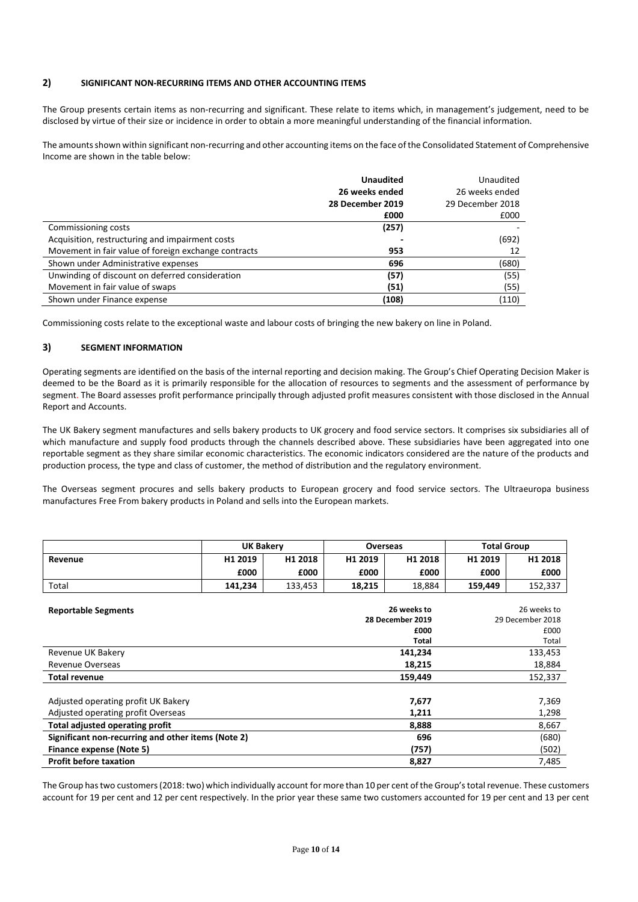# **2) SIGNIFICANT NON-RECURRING ITEMS AND OTHER ACCOUNTING ITEMS**

The Group presents certain items as non-recurring and significant. These relate to items which, in management's judgement, need to be disclosed by virtue of their size or incidence in order to obtain a more meaningful understanding of the financial information.

The amounts shown within significant non-recurring and other accounting items on the face of the Consolidated Statement of Comprehensive Income are shown in the table below:

|                                                      | <b>Unaudited</b> | Unaudited        |
|------------------------------------------------------|------------------|------------------|
|                                                      | 26 weeks ended   | 26 weeks ended   |
|                                                      | 28 December 2019 | 29 December 2018 |
|                                                      | £000             | £000             |
| Commissioning costs                                  | (257)            |                  |
| Acquisition, restructuring and impairment costs      |                  | (692)            |
| Movement in fair value of foreign exchange contracts | 953              | 12               |
| Shown under Administrative expenses                  | 696              | (680)            |
| Unwinding of discount on deferred consideration      | (57)             | (55)             |
| Movement in fair value of swaps                      | (51)             | (55)             |
| Shown under Finance expense                          | (108)            | (110)            |

Commissioning costs relate to the exceptional waste and labour costs of bringing the new bakery on line in Poland.

# **3) SEGMENT INFORMATION**

Operating segments are identified on the basis of the internal reporting and decision making. The Group's Chief Operating Decision Maker is deemed to be the Board as it is primarily responsible for the allocation of resources to segments and the assessment of performance by segment. The Board assesses profit performance principally through adjusted profit measures consistent with those disclosed in the Annual Report and Accounts.

The UK Bakery segment manufactures and sells bakery products to UK grocery and food service sectors. It comprises six subsidiaries all of which manufacture and supply food products through the channels described above. These subsidiaries have been aggregated into one reportable segment as they share similar economic characteristics. The economic indicators considered are the nature of the products and production process, the type and class of customer, the method of distribution and the regulatory environment.

The Overseas segment procures and sells bakery products to European grocery and food service sectors. The Ultraeuropa business manufactures Free From bakery products in Poland and sells into the European markets.

|         | <b>UK Bakerv</b> |                     | Overseas |         | <b>Total Group</b> |         |
|---------|------------------|---------------------|----------|---------|--------------------|---------|
| Revenue | H1 2019          | H <sub>1</sub> 2018 | H1 2019  | H1 2018 | H1 2019            | H1 2018 |
|         | £000             | £000                | £000     | £000    | £000               | £000    |
| Total   | 141.234          | 133.453             | 18,215   | 18,884  | 159.449            | 152,337 |

| <b>Reportable Segments</b>                         | 26 weeks to      | 26 weeks to      |
|----------------------------------------------------|------------------|------------------|
|                                                    | 28 December 2019 | 29 December 2018 |
|                                                    | £000             | £000             |
|                                                    | <b>Total</b>     | Total            |
| Revenue UK Bakery                                  | 141,234          | 133,453          |
| Revenue Overseas                                   | 18,215           | 18,884           |
| <b>Total revenue</b>                               | 159,449          | 152,337          |
|                                                    |                  |                  |
| Adjusted operating profit UK Bakery                | 7,677            | 7,369            |
| Adjusted operating profit Overseas                 | 1,211            | 1,298            |
| Total adjusted operating profit                    | 8,888            | 8,667            |
| Significant non-recurring and other items (Note 2) | 696              | (680)            |
| Finance expense (Note 5)                           | (757)            | (502)            |
| <b>Profit before taxation</b>                      | 8,827            | 7,485            |

The Group has two customers (2018: two) which individually account for more than 10 per cent of the Group's total revenue. These customers account for 19 per cent and 12 per cent respectively. In the prior year these same two customers accounted for 19 per cent and 13 per cent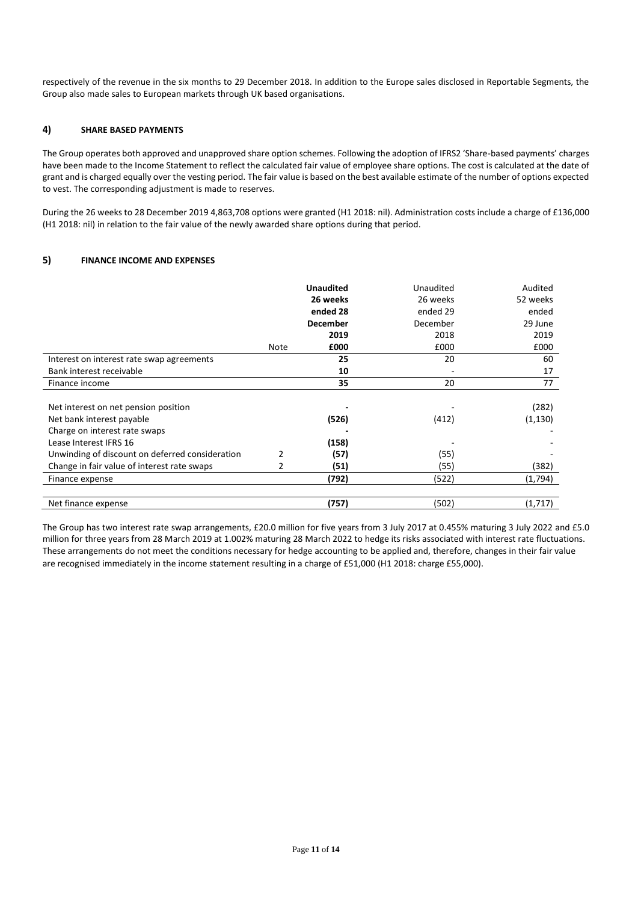respectively of the revenue in the six months to 29 December 2018. In addition to the Europe sales disclosed in Reportable Segments, the Group also made sales to European markets through UK based organisations.

# **4) SHARE BASED PAYMENTS**

The Group operates both approved and unapproved share option schemes. Following the adoption of IFRS2 'Share-based payments' charges have been made to the Income Statement to reflect the calculated fair value of employee share options. The cost is calculated at the date of grant and is charged equally over the vesting period. The fair value is based on the best available estimate of the number of options expected to vest. The corresponding adjustment is made to reserves.

During the 26 weeks to 28 December 2019 4,863,708 options were granted (H1 2018: nil). Administration costs include a charge of £136,000 (H1 2018: nil) in relation to the fair value of the newly awarded share options during that period.

# **5) FINANCE INCOME AND EXPENSES**

|                                                 |                | <b>Unaudited</b> | Unaudited | Audited  |
|-------------------------------------------------|----------------|------------------|-----------|----------|
|                                                 |                | 26 weeks         | 26 weeks  | 52 weeks |
|                                                 |                | ended 28         | ended 29  | ended    |
|                                                 |                | <b>December</b>  | December  | 29 June  |
|                                                 |                | 2019             | 2018      | 2019     |
|                                                 | <b>Note</b>    | £000             | £000      | £000     |
| Interest on interest rate swap agreements       |                | 25               | 20        | 60       |
| Bank interest receivable                        |                | 10               |           | 17       |
| Finance income                                  |                | 35               | 20        | 77       |
|                                                 |                |                  |           |          |
| Net interest on net pension position            |                |                  |           | (282)    |
| Net bank interest payable                       |                | (526)            | (412)     | (1, 130) |
| Charge on interest rate swaps                   |                |                  |           |          |
| Lease Interest IFRS 16                          |                | (158)            |           |          |
| Unwinding of discount on deferred consideration | $\overline{2}$ | (57)             | (55)      |          |
| Change in fair value of interest rate swaps     | 2              | (51)             | (55)      | (382)    |
| Finance expense                                 |                | (792)            | (522)     | (1,794)  |
|                                                 |                |                  |           |          |
| Net finance expense                             |                | (757)            | (502)     | (1,717)  |

The Group has two interest rate swap arrangements, £20.0 million for five years from 3 July 2017 at 0.455% maturing 3 July 2022 and £5.0 million for three years from 28 March 2019 at 1.002% maturing 28 March 2022 to hedge its risks associated with interest rate fluctuations. These arrangements do not meet the conditions necessary for hedge accounting to be applied and, therefore, changes in their fair value are recognised immediately in the income statement resulting in a charge of £51,000 (H1 2018: charge £55,000).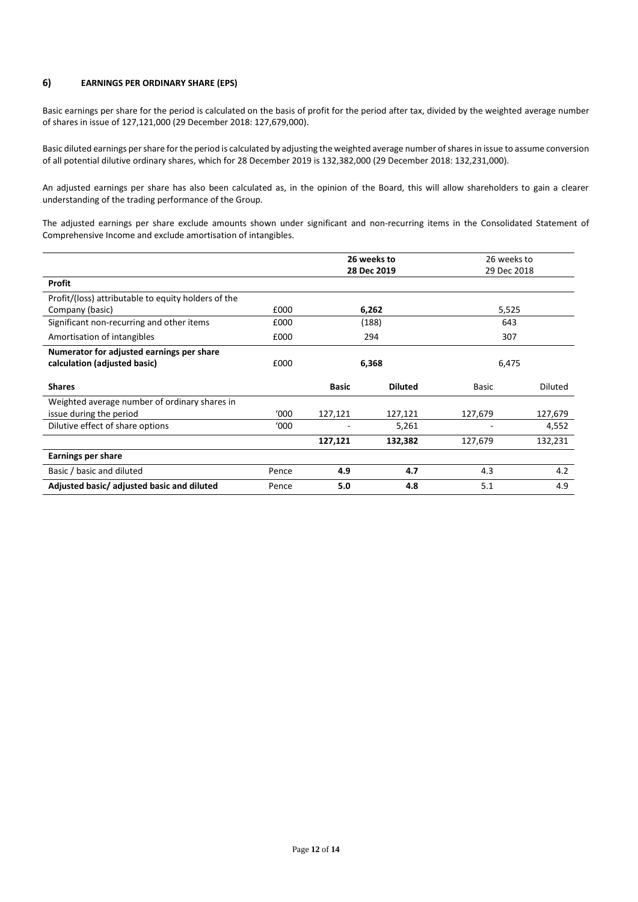# **6) EARNINGS PER ORDINARY SHARE (EPS)**

Basic earnings per share for the period is calculated on the basis of profit for the period after tax, divided by the weighted average number of shares in issue of 127,121,000 (29 December 2018: 127,679,000).

Basic diluted earnings per share for the period is calculated by adjusting the weighted average number of shares in issue to assume conversion of all potential dilutive ordinary shares, which for 28 December 2019 is 132,382,000 (29 December 2018: 132,231,000).

An adjusted earnings per share has also been calculated as, in the opinion of the Board, this will allow shareholders to gain a clearer understanding of the trading performance of the Group.

The adjusted earnings per share exclude amounts shown under significant and non-recurring items in the Consolidated Statement of Comprehensive Income and exclude amortisation of intangibles.

|                                                     | 26 weeks to |              | 26 weeks to    |              |         |
|-----------------------------------------------------|-------------|--------------|----------------|--------------|---------|
|                                                     |             | 28 Dec 2019  |                | 29 Dec 2018  |         |
| <b>Profit</b>                                       |             |              |                |              |         |
| Profit/(loss) attributable to equity holders of the |             |              |                |              |         |
| Company (basic)                                     | £000        | 6,262        |                | 5,525        |         |
| Significant non-recurring and other items           | £000        | (188)        |                | 643          |         |
| Amortisation of intangibles                         | £000        | 294          |                | 307          |         |
| Numerator for adjusted earnings per share           |             |              |                |              |         |
| calculation (adjusted basic)                        | £000        | 6,368        |                | 6,475        |         |
| <b>Shares</b>                                       |             | <b>Basic</b> | <b>Diluted</b> | <b>Basic</b> | Diluted |
| Weighted average number of ordinary shares in       |             |              |                |              |         |
| issue during the period                             | '000        | 127,121      | 127,121        | 127,679      | 127,679 |
| Dilutive effect of share options                    | '000        |              | 5,261          |              | 4,552   |
|                                                     |             | 127,121      | 132,382        | 127,679      | 132,231 |
| <b>Earnings per share</b>                           |             |              |                |              |         |
| Basic / basic and diluted                           | Pence       | 4.9          | 4.7            | 4.3          | 4.2     |
| Adjusted basic/adjusted basic and diluted           | Pence       | 5.0          | 4.8            | 5.1          | 4.9     |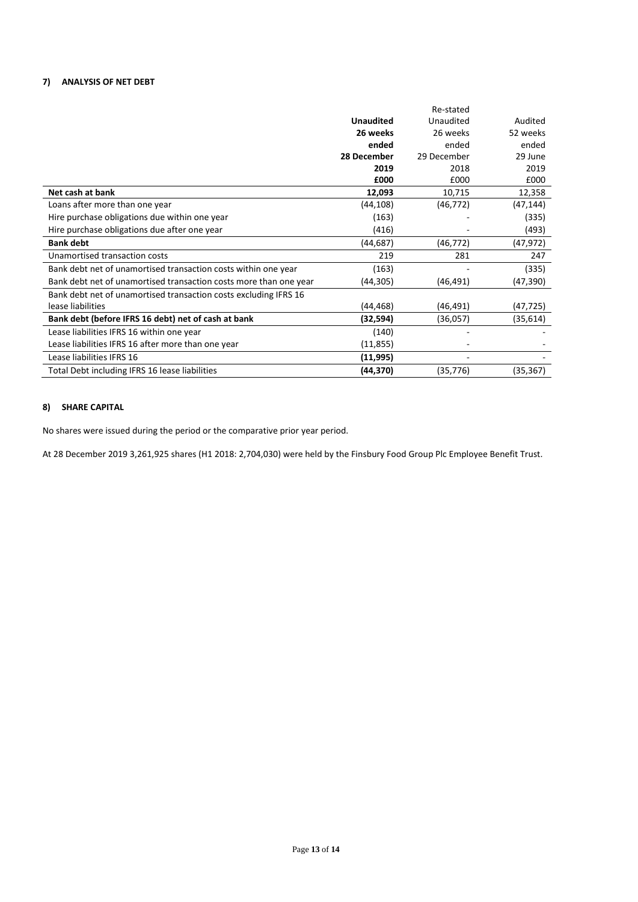# **7) ANALYSIS OF NET DEBT**

|                                                                   |                  | Re-stated   |           |
|-------------------------------------------------------------------|------------------|-------------|-----------|
|                                                                   | <b>Unaudited</b> | Unaudited   | Audited   |
|                                                                   | 26 weeks         | 26 weeks    | 52 weeks  |
|                                                                   | ended            | ended       | ended     |
|                                                                   | 28 December      | 29 December | 29 June   |
|                                                                   | 2019             | 2018        | 2019      |
|                                                                   | £000             | £000        | £000      |
| Net cash at bank                                                  | 12,093           | 10,715      | 12,358    |
| Loans after more than one year                                    | (44, 108)        | (46, 772)   | (47, 144) |
| Hire purchase obligations due within one year                     | (163)            |             | (335)     |
| Hire purchase obligations due after one year                      | (416)            |             | (493)     |
| <b>Bank debt</b>                                                  | (44, 687)        | (46, 772)   | (47, 972) |
| Unamortised transaction costs                                     | 219              | 281         | 247       |
| Bank debt net of unamortised transaction costs within one year    | (163)            |             | (335)     |
| Bank debt net of unamortised transaction costs more than one year | (44,305)         | (46, 491)   | (47, 390) |
| Bank debt net of unamortised transaction costs excluding IFRS 16  |                  |             |           |
| lease liabilities                                                 | (44, 468)        | (46,491)    | (47,725)  |
| Bank debt (before IFRS 16 debt) net of cash at bank               | (32,594)         | (36,057)    | (35,614)  |
| Lease liabilities IFRS 16 within one year                         | (140)            |             |           |
| Lease liabilities IFRS 16 after more than one year                | (11, 855)        |             |           |
| Lease liabilities IFRS 16                                         | (11,995)         |             |           |
| Total Debt including IFRS 16 lease liabilities                    | (44,370)         | (35,776)    | (35, 367) |

# **8) SHARE CAPITAL**

No shares were issued during the period or the comparative prior year period.

At 28 December 2019 3,261,925 shares (H1 2018: 2,704,030) were held by the Finsbury Food Group Plc Employee Benefit Trust.